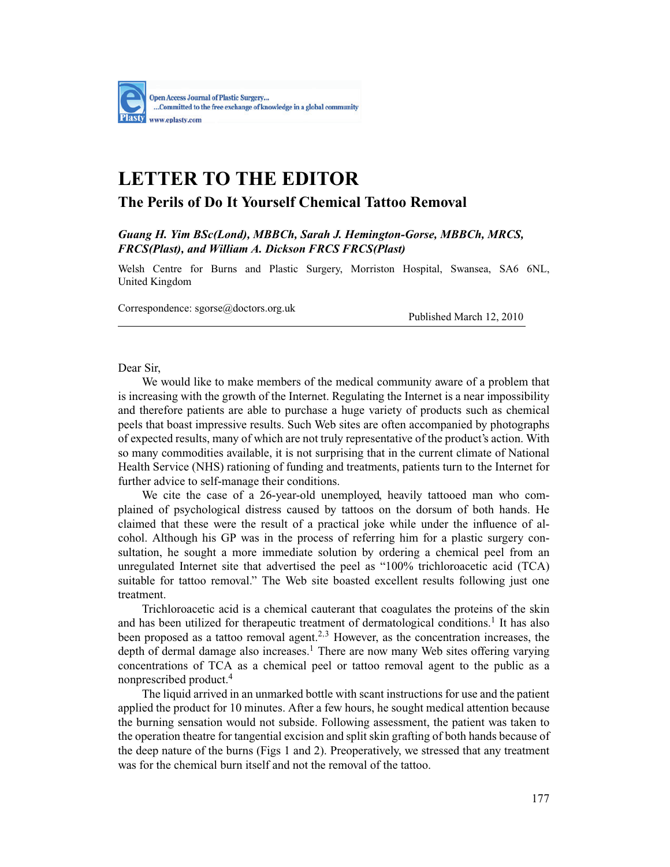

## **LETTER TO THE EDITOR**

## **The Perils of Do It Yourself Chemical Tattoo Removal**

*Guang H. Yim BSc(Lond), MBBCh, Sarah J. Hemington-Gorse, MBBCh, MRCS, FRCS(Plast), and William A. Dickson FRCS FRCS(Plast)*

Welsh Centre for Burns and Plastic Surgery, Morriston Hospital, Swansea, SA6 6NL, United Kingdom

Correspondence: sgorse@doctors.org.uk Published March 12, 2010

Dear Sir,

We would like to make members of the medical community aware of a problem that is increasing with the growth of the Internet. Regulating the Internet is a near impossibility and therefore patients are able to purchase a huge variety of products such as chemical peels that boast impressive results. Such Web sites are often accompanied by photographs of expected results, many of which are not truly representative of the product's action. With so many commodities available, it is not surprising that in the current climate of National Health Service (NHS) rationing of funding and treatments, patients turn to the Internet for further advice to self-manage their conditions.

We cite the case of a 26-year-old unemployed, heavily tattooed man who complained of psychological distress caused by tattoos on the dorsum of both hands. He claimed that these were the result of a practical joke while under the influence of alcohol. Although his GP was in the process of referring him for a plastic surgery consultation, he sought a more immediate solution by ordering a chemical peel from an unregulated Internet site that advertised the peel as "100% trichloroacetic acid (TCA) suitable for tattoo removal." The Web site boasted excellent results following just one treatment.

Trichloroacetic acid is a chemical cauterant that coagulates the proteins of the skin and has been utilized for therapeutic treatment of dermatological conditions.<sup>1</sup> It has also been proposed as a tattoo removal agent.<sup>2,3</sup> However, as the concentration increases, the depth of dermal damage also increases.<sup>1</sup> There are now many Web sites offering varying concentrations of TCA as a chemical peel or tattoo removal agent to the public as a nonprescribed product.<sup>4</sup>

The liquid arrived in an unmarked bottle with scant instructions for use and the patient applied the product for 10 minutes. After a few hours, he sought medical attention because the burning sensation would not subside. Following assessment, the patient was taken to the operation theatre for tangential excision and split skin grafting of both hands because of the deep nature of the burns (Figs 1 and 2). Preoperatively, we stressed that any treatment was for the chemical burn itself and not the removal of the tattoo.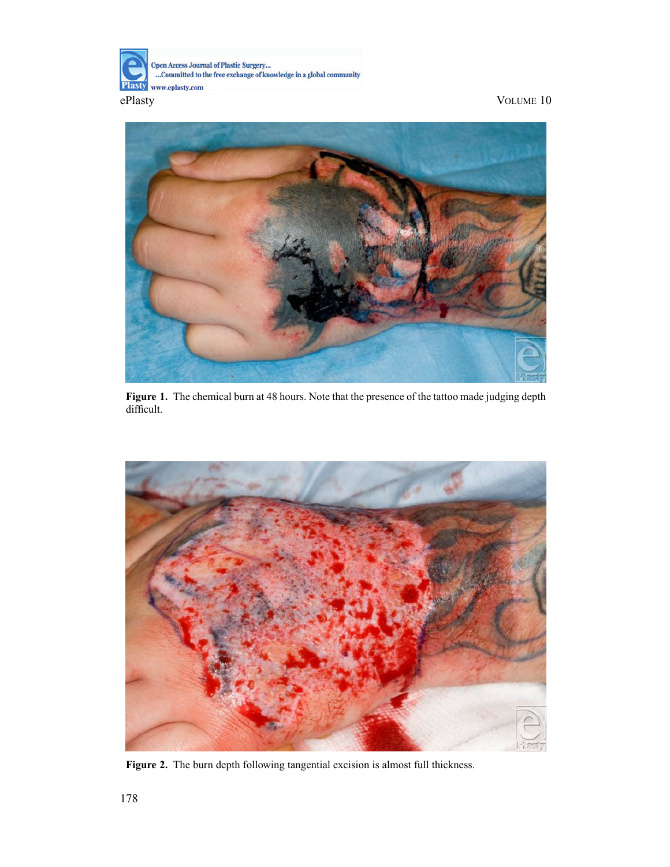



**Figure 1.** The chemical burn at 48 hours. Note that the presence of the tattoo made judging depth difficult.



**Figure 2.** The burn depth following tangential excision is almost full thickness.